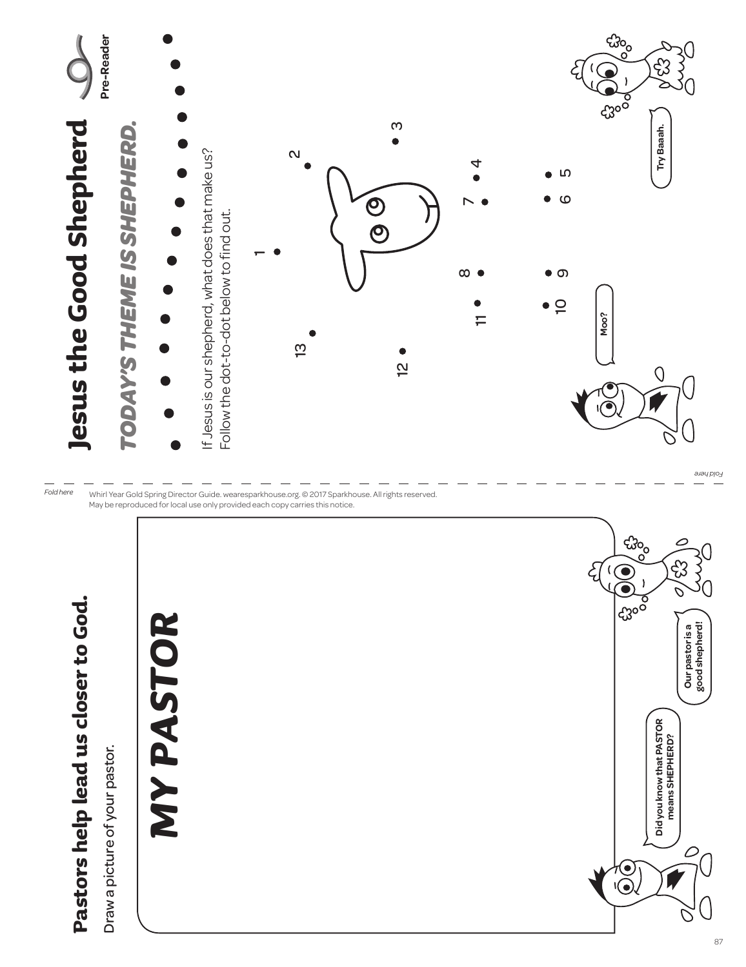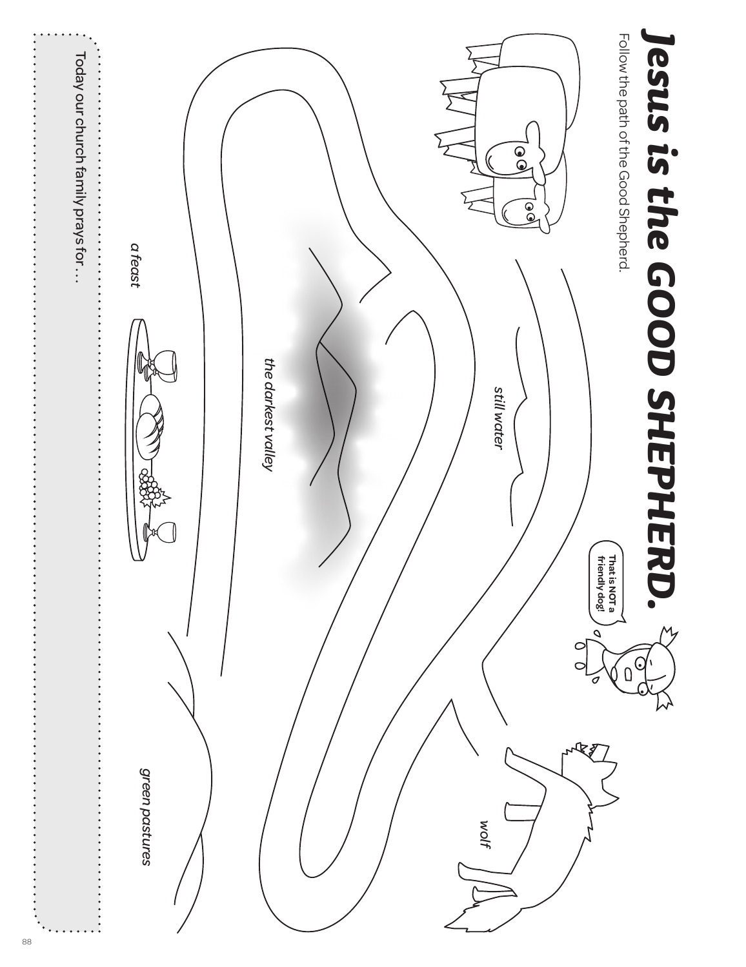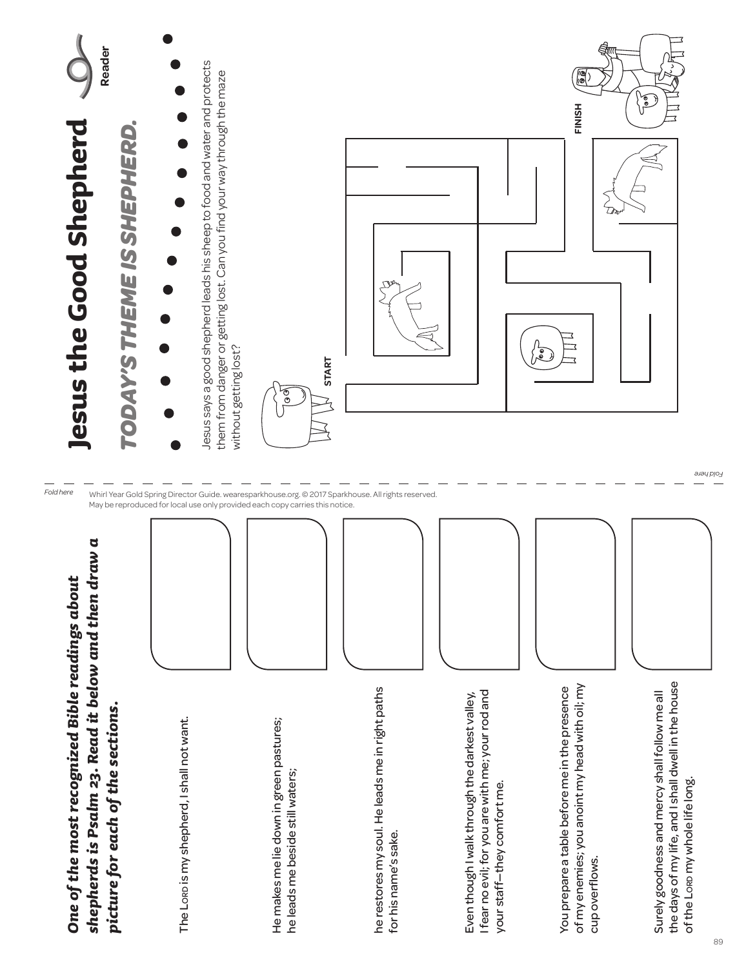